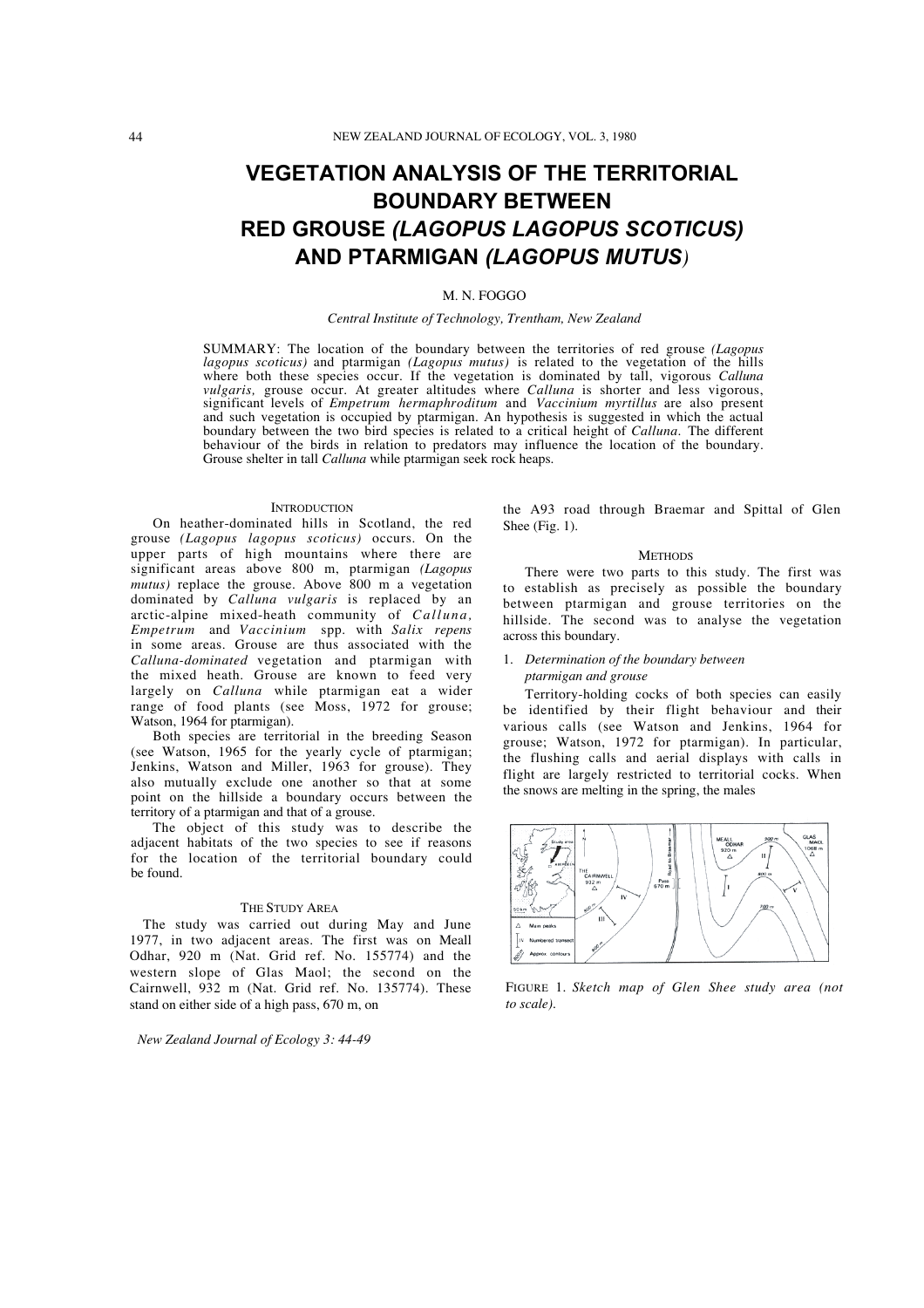# **VEGETATION ANALYSIS OF THE TERRITORIAL BOUNDARY BETWEEN RED GROUSE** *(LAGOPUS LAGOPUS SCOTICUS)* **AND PTARMIGAN** *(LAGOPUS MUTUS)*

## M. N. FOGGO

#### *Central Institute of Technology, Trentham, New Zealand*

SUMMARY: The location of the boundary between the territories of red grouse *(Lagopus lagopus scoticus)* and ptarmigan *(Lagopus mutus)* is related to the vegetation of the hills where both these species occur. If the vegetation is dominated by tall, vigorous *Calluna vulgaris*, grouse occur. At greater altitudes where *Calluna* is shorter and less vigorous, significant levels of *Empetrum hermap* and such vegetation is occupied by ptarmigan. An hypothesis is suggested in which the actual boundary between the two bird species is related to a critical height of *Calluna.* The different behaviour of the birds in relation to predators may influence the location of the boundary. Grouse shelter in tall *Calluna* while ptarmigan seek rock heaps.

## **INTRODUCTION**

On heather-dominated hills in Scotland, the red grouse *(Lagopus lagopus scoticus)* occurs. On the upper parts of high mountains where there are significant areas above 800 m, ptarmigan *(Lagopus mutus)* replace the grouse. Above 800 m a vegetation dominated by *Calluna vulgaris* is replaced by an arctic-alpine mixed-heath community of *Calluna, Empetrum* and *Vaccinium* spp. with *Salix repens* in some areas. Grouse are thus associated with the *Calluna-dominated* vegetation and ptarmigan with the mixed heath. Grouse are known to feed very largely on *Calluna* while ptarmigan eat a wider range of food plants (see Moss, 1972 for grouse; Watson, 1964 for ptarmigan).

Both species are territorial in the breeding Season (see Watson, 1965 for the yearly cycle of ptarmigan; Jenkins, Watson and Miller, 1963 for grouse). They also mutually exclude one another so that at some point on the hillside a boundary occurs between the territory of a ptarmigan and that of a grouse.

The object of this study was to describe the adjacent habitats of the two species to see if reasons for the location of the territorial boundary could be found.

#### THE STUDY AREA

The study was carried out during May and June 1977, in two adjacent areas. The first was on Meall Odhar, 920 m (Nat. Grid ref. No. 155774) and the western slope of Glas Maol; the second on the Cairnwell, 932 m (Nat. Grid ref. No. 135774). These stand on either side of a high pass, 670 m, on

*New Zealand Journal of Ecology 3: 44-49*

the A93 road through Braemar and Spittal of Glen Shee (Fig. 1).

#### **METHODS**

There were two parts to this study. The first was to establish as precisely as possible the boundary between ptarmigan and grouse territories on the hillside. The second was to analyse the vegetation across this boundary.

# 1. *Determination of the boundary between ptarmigan and grouse*

Territory-holding cocks of both species can easily be identified by their flight behaviour and their various calls (see Watson and Jenkins, 1964 for grouse; Watson, 1972 for ptarmigan). In particular, the flushing calls and aerial displays with calls in flight are largely restricted to territorial cocks. When the snows are melting in the spring, the males



FIGURE 1. *Sketch map of Glen Shee study area (not to scale).*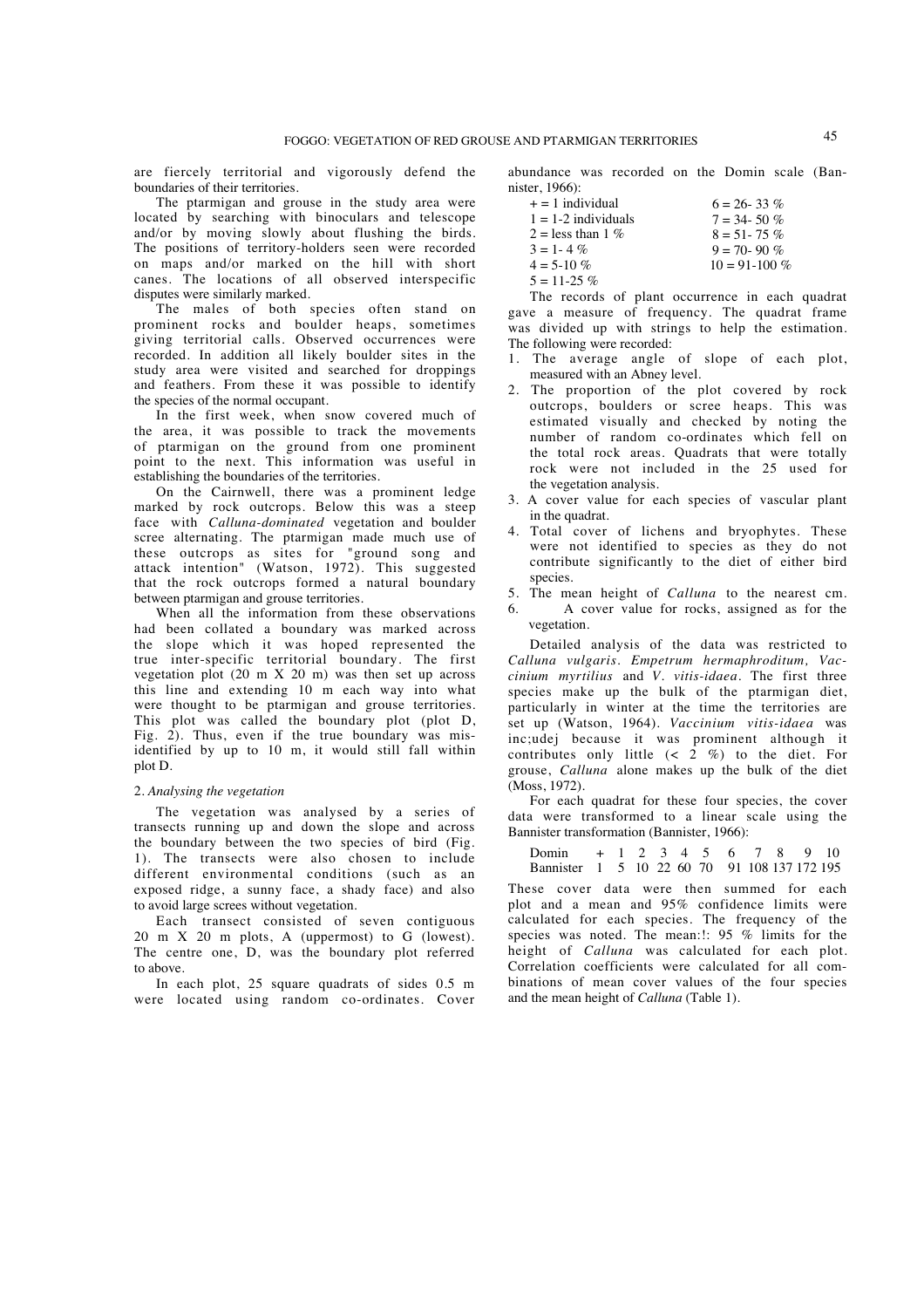are fiercely territorial and vigorously defend the boundaries of their territories.

The ptarmigan and grouse in the study area were located by searching with binoculars and telescope and/or by moving slowly about flushing the birds. The positions of territory-holders seen were recorded on maps and/or marked on the hill with short canes. The locations of all observed interspecific disputes were similarly marked.

The males of both species often stand on prominent rocks and boulder heaps, sometimes giving territorial calls. Observed occurrences were recorded. In addition all likely boulder sites in the study area were visited and searched for droppings and feathers. From these it was possible to identify the species of the normal occupant.

In the first week, when snow covered much of the area, it was possible to track the movements of ptarmigan on the ground from one prominent point to the next. This information was useful in establishing the boundaries of the territories.

On the Cairnwell, there was a prominent ledge marked by rock outcrops. Below this was a steep face with *Calluna-dominated* vegetation and boulder scree alternating. The ptarmigan made much use of these outcrops as sites for "ground song and attack intention" (Watson, 1972). This suggested that the rock outcrops formed a natural boundary between ptarmigan and grouse territories.

When all the information from these observations had been collated a boundary was marked across the slope which it was hoped represented the true inter-specific territorial boundary. The first vegetation plot  $(20 \text{ m X } 20 \text{ m})$  was then set up across this line and extending 10 m each way into what were thought to be ptarmigan and grouse territories. This plot was called the boundary plot (plot D, Fig. 2). Thus, even if the true boundary was misidentified by up to 10 m, it would still fall within plot D.

#### 2. *Analysing the vegetation*

The vegetation was analysed by a series of transects running up and down the slope and across the boundary between the two species of bird (Fig. 1). The transects were also chosen to include different environmental conditions (such as an exposed ridge, a sunny face, a shady face) and also to avoid large screes without vegetation.

Each transect consisted of seven contiguous 20 m X 20 m plots, A (uppermost) to G (lowest). The centre one, D, was the boundary plot referred to above.

In each plot, 25 square quadrats of sides 0.5 m were located using random co-ordinates. Cover abundance was recorded on the Domin scale (Bannister, 1966):

| $6 = 26 - 33\%$    |
|--------------------|
| $7 = 34 - 50\%$    |
| $8 = 51 - 75\%$    |
| $9 = 70 - 90\%$    |
| $10 = 91 - 100 \%$ |
|                    |
|                    |

The records of plant occurrence in each quadrat gave a measure of frequency. The quadrat frame was divided up with strings to help the estimation. The following were recorded:

- 1. The average angle of slope of each plot, measured with an Abney level.
- 2. The proportion of the plot covered by rock outcrops, boulders or scree heaps. This was estimated visually and checked by noting the number of random co-ordinates which fell on the total rock areas. Quadrats that were totally rock were not included in the 25 used for the vegetation analysis.
- 3. A cover value for each species of vascular plant in the quadrat.
- 4. Total cover of lichens and bryophytes. These were not identified to species as they do not contribute significantly to the diet of either bird species.
- 5. The mean height of *Calluna* to the nearest cm.
- 6. A cover value for rocks, assigned as for the vegetation.

Detailed analysis of the data was restricted to *Calluna vulgaris. Empetrum hermaphroditum, Vaccinium myrtilius* and *V. vitis-idaea.* The first three species make up the bulk of the ptarmigan diet, particularly in winter at the time the territories are set up (Watson, 1964). *Vaccinium vitis-idaea* was inc;udej because it was prominent although it contributes only little  $(2, 2, 1)$  to the diet. For grouse, *Calluna* alone makes up the bulk of the diet (Moss, 1972).

For each quadrat for these four species, the cover data were transformed to a linear scale using the Bannister transformation (Bannister, 1966):

Domin + 1 2 3 4 5 6 7 8 9 10 Bannister 1 5 10 22 60 70 91 108 137 172 195

These cover data were then summed for each plot and a mean and 95% confidence limits were calculated for each species. The frequency of the species was noted. The mean:!: 95 % limits for the height of *Calluna* was calculated for each plot. Correlation coefficients were calculated for all combinations of mean cover values of the four species and the mean height of *Calluna* (Table 1).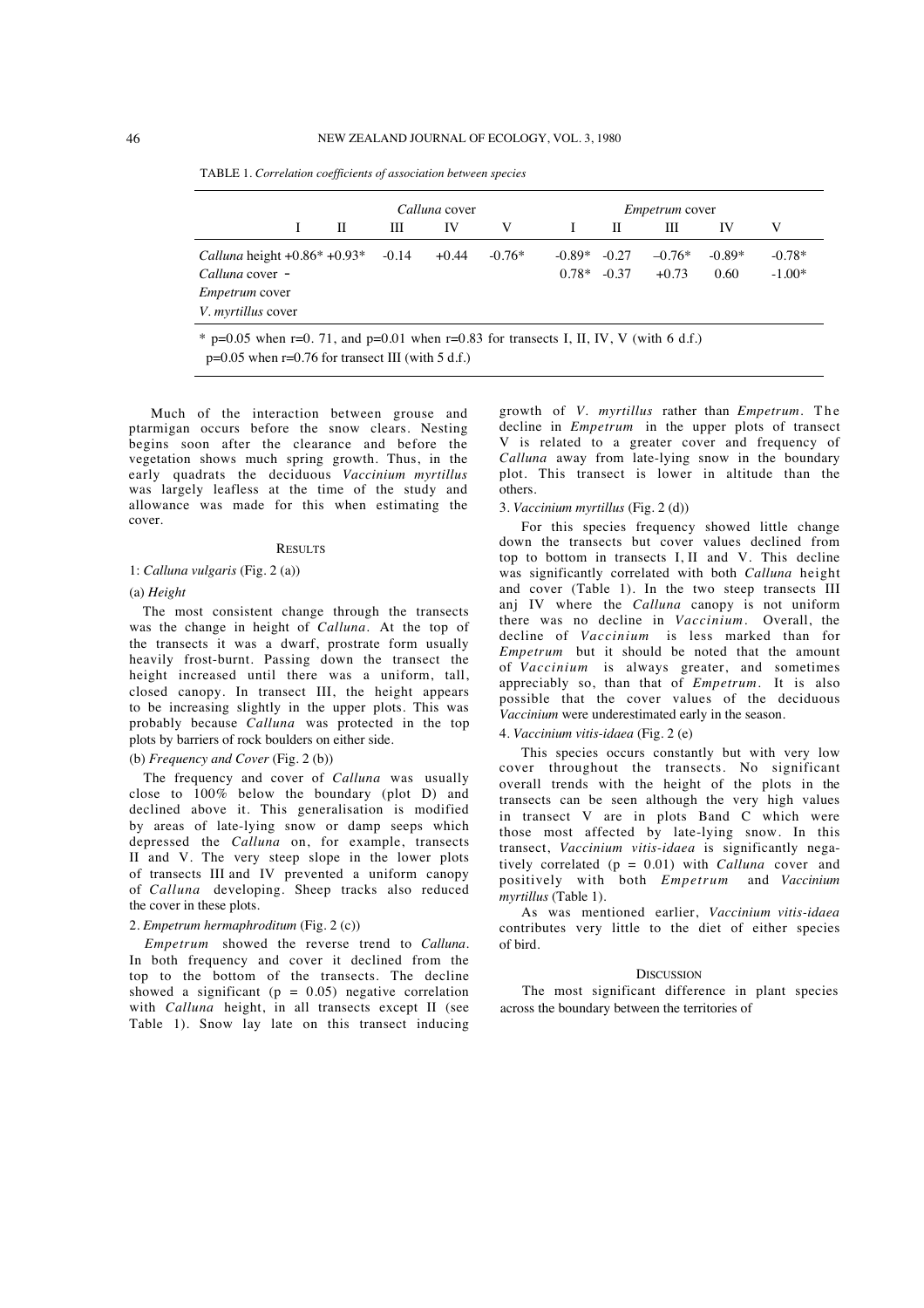TABLE 1. *Correlation coefficients of association between species*

|                                       | Calluna cover |         |         |          | <i>Empetrum</i> cover |         |          |          |          |
|---------------------------------------|---------------|---------|---------|----------|-----------------------|---------|----------|----------|----------|
|                                       | П             | Ш       | IV      | V        |                       | П       | Ш        | IV       | V        |
| <i>Calluna</i> height $+0.86* +0.93*$ |               | $-0.14$ | $+0.44$ | $-0.76*$ | $-0.89*$              | $-0.27$ | $-0.76*$ | $-0.89*$ | $-0.78*$ |
| Calluna cover -                       |               |         |         |          | $0.78*$               | $-0.37$ | $+0.73$  | 0.60     | $-1.00*$ |
| <i>Empetrum</i> cover                 |               |         |         |          |                       |         |          |          |          |
| <i>V. myrtillus</i> cover             |               |         |         |          |                       |         |          |          |          |

 $p=0.05$  when  $r=0.76$  for transect III (with 5 d.f.)

Much of the interaction between grouse and ptarmigan occurs before the snow clears. Nesting begins soon after the clearance and before the vegetation shows much spring growth. Thus, in the early quadrats the deciduous *Vaccinium myrtillus* was largely leafless at the time of the study and allowance was made for this when estimating the cover.

#### **RESULTS**

### 1: *Calluna vulgaris* (Fig. 2 (a))

#### (a) *Height*

The most consistent change through the transects was the change in height of *Calluna.* At the top of the transects it was a dwarf, prostrate form usually heavily frost-burnt. Passing down the transect the height increased until there was a uniform, tall, closed canopy. In transect III, the height appears to be increasing slightly in the upper plots. This was probably because *Calluna* was protected in the top plots by barriers of rock boulders on either side.

## (b) *Frequency and Cover* (Fig. 2 (b))

The frequency and cover of *Calluna* was usually close to 100% below the boundary (plot D) and declined above it. This generalisation is modified by areas of late-lying snow or damp seeps which depressed the *Calluna* on, for example, transects II and V. The very steep slope in the lower plots of transects III and IV prevented a uniform canopy of *Calluna* developing. Sheep tracks also reduced the cover in these plots.

### 2. *Empetrum hermaphroditum* (Fig. 2 (c))

*Empetrum* showed the reverse trend to *Calluna.* In both frequency and cover it declined from the top to the bottom of the transects. The decline showed a significant ( $p = 0.05$ ) negative correlation with *Calluna* height, in all transects except II (see Table 1). Snow lay late on this transect inducing growth of *V. myrtillus* rather than *Empetrum*. The decline in *Empetrum* in the upper plots of transect V is related to a greater cover and frequency of *Calluna* away from late-lying snow in the boundary plot. This transect is lower in altitude than the others.

#### 3. *Vaccinium myrtillus* (Fig. 2 (d))

For this species frequency showed little change down the transects but cover values declined from top to bottom in transects I, II and V. This decline was significantly correlated with both *Calluna* height and cover (Table 1). In the two steep transects III anj IV where the *Calluna* canopy is not uniform there was no decline in *Vaccinium.* Overall, the decline of *Vaccinium* is less marked than for *Empetrum* but it should be noted that the amount of *Vaccinium* is always greater, and sometimes appreciably so, than that of *Empetrum.* It is also possible that the cover values of the deciduous *Vaccinium* were underestimated early in the season.

### 4. *Vaccinium vitis-idaea* (Fig. 2 (e)

This species occurs constantly but with very low cover throughout the transects. No significant overall trends with the height of the plots in the transects can be seen although the very high values in transect V are in plots Band C which were those most affected by late-lying snow. In this transect, *Vaccinium vitis-idaea* is significantly negatively correlated (p = 0.01) with *Calluna* cover and positively with both *Empetrum* and *Vaccinium myrtillus* (Table 1).

As was mentioned earlier, *Vaccinium vitis-idaea* contributes very little to the diet of either species of bird.

## **DISCUSSION**

The most significant difference in plant species across the boundary between the territories of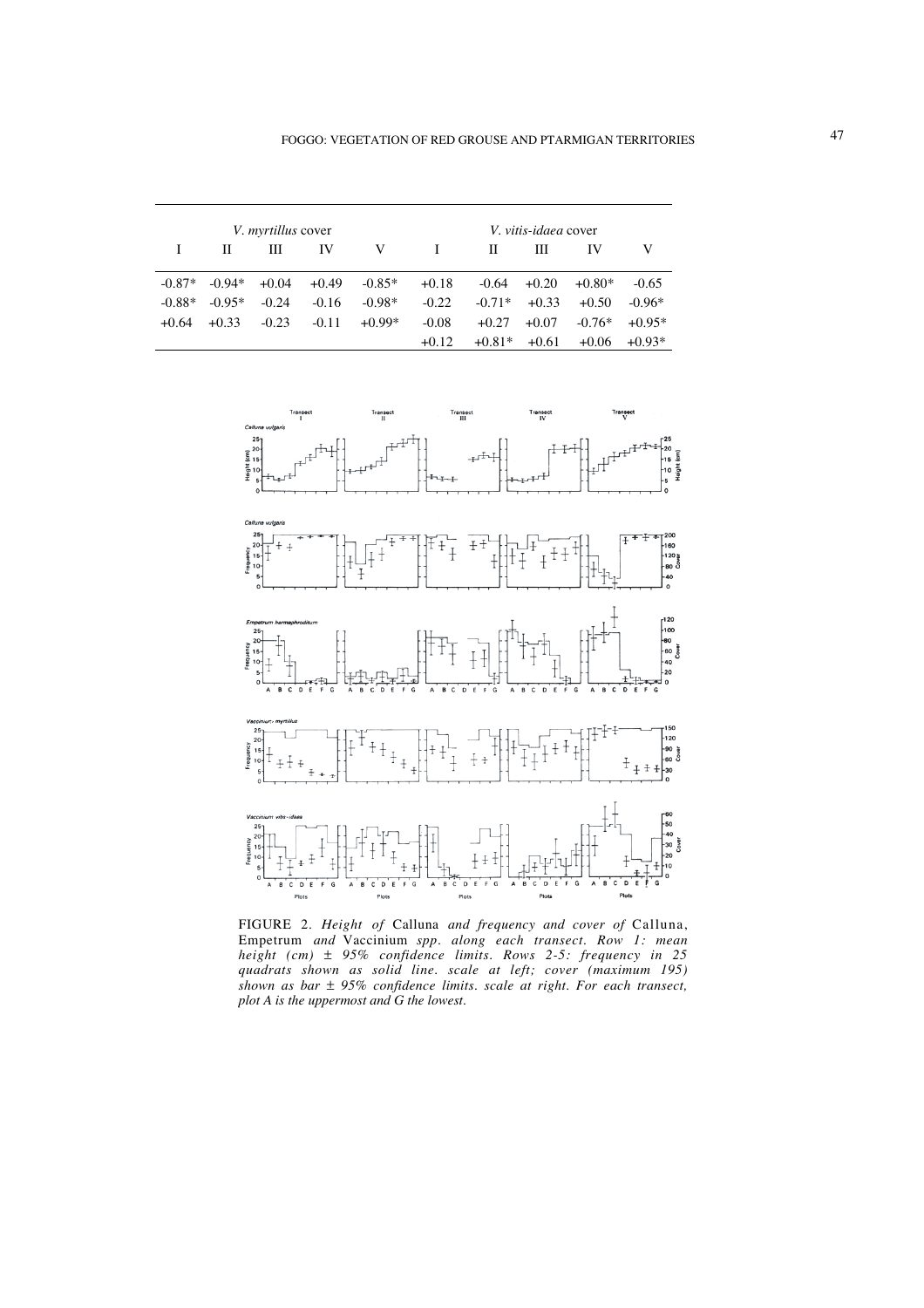|          |          | <i>V. myrtillus</i> cover |         |          | V. vitis-idaea cover |          |         |          |          |  |
|----------|----------|---------------------------|---------|----------|----------------------|----------|---------|----------|----------|--|
|          | н        | Ш                         | IV      | V        | $\mathbf{I}$         | П        | Ш       | IV       |          |  |
| $-0.87*$ | $-0.94*$ | $+0.04$                   | $+0.49$ | $-0.85*$ | $+0.18$              | $-0.64$  | $+0.20$ | $+0.80*$ | $-0.65$  |  |
| $-0.88*$ | $-0.95*$ | $-0.24$                   | $-0.16$ | $-0.98*$ | $-0.22$              | $-0.71*$ | $+0.33$ | $+0.50$  | $-0.96*$ |  |
| $+0.64$  | $+0.33$  | $-0.23$                   | $-0.11$ | $+0.99*$ | $-0.08$              | $+0.27$  | $+0.07$ | $-0.76*$ | $+0.95*$ |  |
|          |          |                           |         |          | $+0.12$              | $+0.81*$ | $+0.61$ | $+0.06$  | $+0.93*$ |  |



FIGURE 2. *Height of* Calluna *and frequency and cover of* Calluna, Empetrum *and* Vaccinium *spp. along each transect. Row 1: mean height (cm)* ± *95% confidence limits. Rows 2-5: frequency in 25 quadrats shown as solid line. scale at left; cover (maximum 195) shown as bar* ± *95% confidence limits. scale at right. For each transect, plot A is the uppermost and G the lowest.*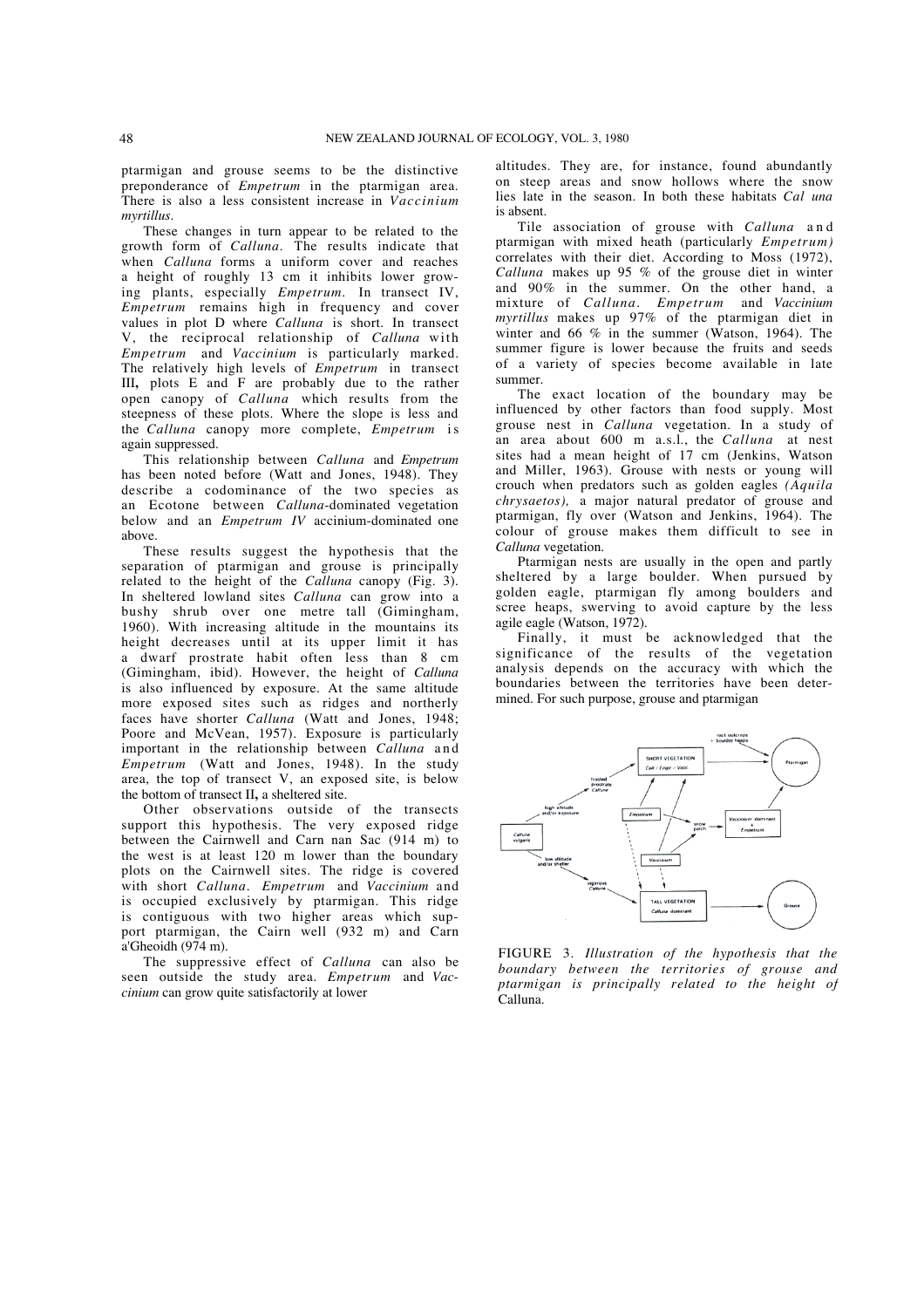ptarmigan and grouse seems to be the distinctive preponderance of *Empetrum* in the ptarmigan area. There is also a less consistent increase in *Vaccinium myrtillus.*

These changes in turn appear to be related to the growth form of *Calluna.* The results indicate that when *Calluna* forms a uniform cover and reaches a height of roughly 13 cm it inhibits lower growing plants, especially *Empetrum.* In transect IV, *Empetrum* remains high in frequency and cover values in plot D where *Calluna* is short. In transect V, the reciprocal relationship of *Calluna* with *Empetrum* and *Vaccinium* is particularly marked. The relatively high levels of *Empetrum* in transect III**,** plots E and F are probably due to the rather open canopy of *Calluna* which results from the steepness of these plots. Where the slope is less and the *Calluna* canopy more complete, *Empetrum* is again suppressed.

This relationship between *Calluna* and *Empetrum* has been noted before (Watt and Jones, 1948). They describe a codominance of the two species as an Ecotone between *Calluna*-dominated vegetation below and an *Empetrum IV* accinium-dominated one above.

These results suggest the hypothesis that the separation of ptarmigan and grouse is principally related to the height of the *Calluna* canopy (Fig. 3). In sheltered lowland sites *Calluna* can grow into a bushy shrub over one metre tall (Gimingham, 1960). With increasing altitude in the mountains its height decreases until at its upper limit it has a dwarf prostrate habit often less than 8 cm (Gimingham, ibid). However, the height of *Calluna* is also influenced by exposure. At the same altitude more exposed sites such as ridges and northerly faces have shorter *Calluna* (Watt and Jones, 1948; Poore and McVean, 1957). Exposure is particularly important in the relationship between *Calluna* and *Empetrum* (Watt and Jones, 1948). In the study area, the top of transect V, an exposed site, is below the bottom of transect II**,** a sheltered site.

Other observations outside of the transects support this hypothesis. The very exposed ridge between the Cairnwell and Carn nan Sac (914 m) to the west is at least 120 m lower than the boundary plots on the Cairnwell sites. The ridge is covered with short *Calluna. Empetrum* and *Vaccinium* and is occupied exclusively by ptarmigan. This ridge is contiguous with two higher areas which support ptarmigan, the Cairn well (932 m) and Carn a'Gheoidh (974 m).

The suppressive effect of *Calluna* can also be seen outside the study area. *Empetrum* and *Vaccinium* can grow quite satisfactorily at lower

altitudes. They are, for instance, found abundantly on steep areas and snow hollows where the snow lies late in the season. In both these habitats *Cal una* is absent.

Tile association of grouse with *Calluna* and ptarmigan with mixed heath (particularly *Empetrum)* correlates with their diet. According to Moss (1972), *Calluna* makes up 95 % of the grouse diet in winter and 90% in the summer. On the other hand, a mixture of *Calluna. Empetrum* and *Vaccinium myrtillus* makes up 97% of the ptarmigan diet in winter and 66  $\%$  in the summer (Watson, 1964). The summer figure is lower because the fruits and seeds of a variety of species become available in late summer.

The exact location of the boundary may be influenced by other factors than food supply. Most grouse nest in *Calluna* vegetation. In a study of an area about 600 m a.s.l., the *Calluna* at nest sites had a mean height of 17 cm (Jenkins, Watson and Miller, 1963). Grouse with nests or young will crouch when predators such as golden eagles *(Aquila chrysaetos),* a major natural predator of grouse and ptarmigan, fly over (Watson and Jenkins, 1964). The colour of grouse makes them difficult to see in *Calluna* vegetation.

Ptarmigan nests are usually in the open and partly sheltered by a large boulder. When pursued by golden eagle, ptarmigan fly among boulders and scree heaps, swerving to avoid capture by the less agile eagle (Watson, 1972).

Finally, it must be acknowledged that the significance of the results of the vegetation analysis depends on the accuracy with which the boundaries between the territories have been determined. For such purpose, grouse and ptarmigan



FIGURE 3. *Illustration of the hypothesis that the boundary between the territories of grouse and ptarmigan is principally related to the height of* Calluna.